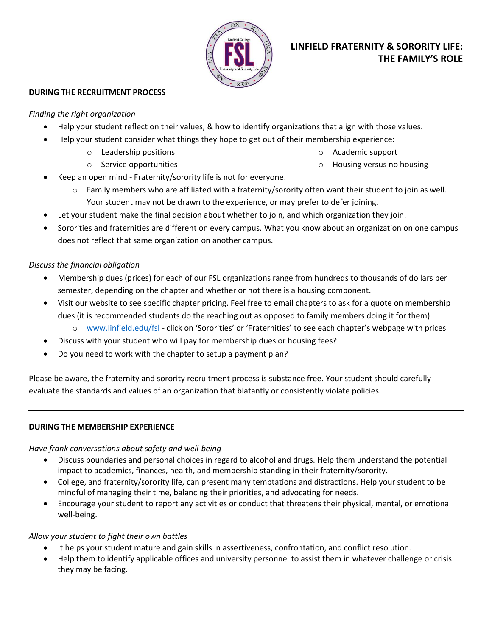

# **LINFIELD FRATERNITY & SORORITY LIFE: THE FAMILY'S ROLE**

## **DURING THE RECRUITMENT PROCESS**

#### *Finding the right organization*

- Help your student reflect on their values, & how to identify organizations that align with those values.
- Help your student consider what things they hope to get out of their membership experience:
	- o Leadership positions
	- o Service opportunities

o Academic support

- o Housing versus no housing
- Keep an open mind Fraternity/sorority life is not for everyone.
	- $\circ$  Family members who are affiliated with a fraternity/sorority often want their student to join as well. Your student may not be drawn to the experience, or may prefer to defer joining.
- Let your student make the final decision about whether to join, and which organization they join.
- Sororities and fraternities are different on every campus. What you know about an organization on one campus does not reflect that same organization on another campus.

## *Discuss the financial obligation*

- Membership dues (prices) for each of our FSL organizations range from hundreds to thousands of dollars per semester, depending on the chapter and whether or not there is a housing component.
- Visit our website to see specific chapter pricing. Feel free to email chapters to ask for a quote on membership dues (it is recommended students do the reaching out as opposed to family members doing it for them)
	- o [www.linfield.edu/fsl](http://www.linfield.edu/fsl) click on 'Sororities' or 'Fraternities' to see each chapter's webpage with prices
- Discuss with your student who will pay for membership dues or housing fees?
- Do you need to work with the chapter to setup a payment plan?

Please be aware, the fraternity and sorority recruitment process is substance free. Your student should carefully evaluate the standards and values of an organization that blatantly or consistently violate policies.

## **DURING THE MEMBERSHIP EXPERIENCE**

## *Have frank conversations about safety and well-being*

- Discuss boundaries and personal choices in regard to alcohol and drugs. Help them understand the potential impact to academics, finances, health, and membership standing in their fraternity/sorority.
- College, and fraternity/sorority life, can present many temptations and distractions. Help your student to be mindful of managing their time, balancing their priorities, and advocating for needs.
- Encourage your student to report any activities or conduct that threatens their physical, mental, or emotional well-being.

## *Allow your student to fight their own battles*

- It helps your student mature and gain skills in assertiveness, confrontation, and conflict resolution.
- Help them to identify applicable offices and university personnel to assist them in whatever challenge or crisis they may be facing.